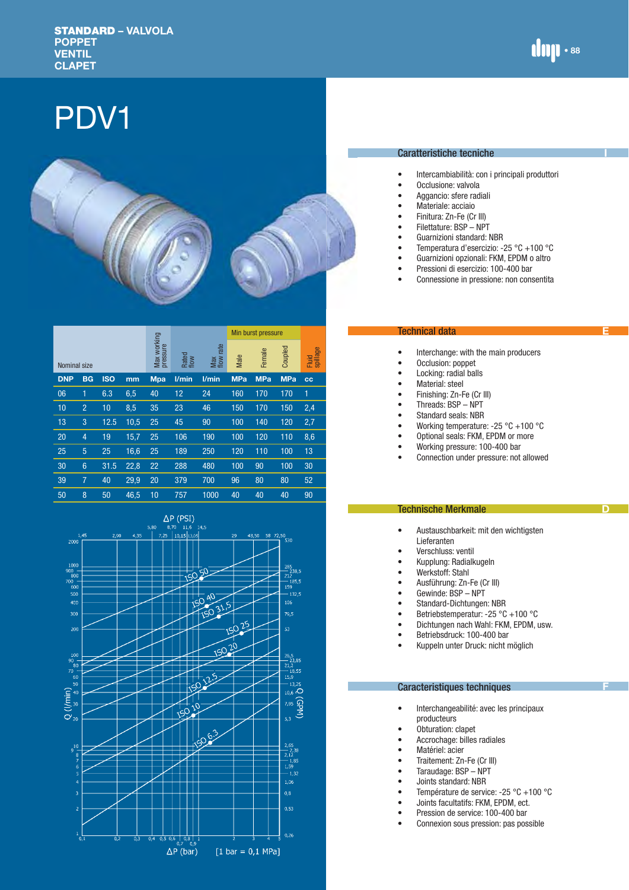**I**

**E**

**D**

# PDV1



|              |                 |            |      |                         |               | Min burst pressure  |            |            |            |                   |
|--------------|-----------------|------------|------|-------------------------|---------------|---------------------|------------|------------|------------|-------------------|
| Nominal size |                 |            |      | Max working<br>pressure | Rated<br>flow | rate<br>Max<br>flow |            | Female     | Coupled    | spillage<br>Fluid |
| <b>DNP</b>   | <b>BG</b>       | <b>ISO</b> | mm   | <b>Mpa</b>              | l/min         | l/min               | <b>MPa</b> | <b>MPa</b> | <b>MPa</b> | CC                |
| 06           | 1               | 6.3        | 6,5  | 40                      | 12            | 24                  | 160        | 170        | 170        | 1                 |
| 10           | $\overline{2}$  | 10         | 8,5  | 35                      | 23            | 46                  | 150        | 170        | 150        | 2,4               |
| 13           | 3               | 12.5       | 10,5 | 25                      | 45            | 90                  | 100        | 140        | 120        | 2,7               |
| 20           | 4               | 19         | 15,7 | 25                      | 106           | 190                 | 100        | 120        | 110        | 8,6               |
| 25           | 5               | 25         | 16,6 | 25                      | 189           | 250                 | 120        | 110        | 100        | 13                |
| 30           | $6\phantom{1}6$ | 31.5       | 22,8 | 22                      | 288           | 480                 | 100        | 90         | 100        | 30                |
| 39           | $\overline{7}$  | 40         | 29,9 | 20                      | 379           | 700                 | 96         | 80         | 80         | 52                |
| 50           | 8               | 50         | 46,5 | 10                      | 757           | 1000                | 40         | 40         | 40         | 90                |



#### Caratteristiche tecniche

- Intercambiabilità: con i principali produttori
- Occlusione: valvola<br>• Aggancio: sfere rad
- Aggancio: sfere radiali
- Materiale: acciaio<br>• Finitura: 7n-Fe (Cr
- Finitura: Zn-Fe (Cr III)
- Filettature: BSP NPT<br>• Guarnizioni standard: I
- Guarnizioni standard: NBR
- Temperatura d'esercizio: -25 °C +100 °C<br>• Guarnizioni onzionali: FKM FPDM o altro
- Guarnizioni opzionali: FKM, EPDM o altro
- Pressioni di esercizio: 100-400 bar
- Connessione in pressione: non consentita

#### Technical data

- Interchange: with the main producers<br>• Occlusion: poppet
- Occlusion: poppet<br>• Locking: radial hal
- Locking: radial balls
- Material: steel
- Finishing: Zn-Fe (Cr III)
- Threads: BSP NPT
- Standard seals: NBR<br>• Working temperature
- Working temperature:  $-25\degree C + 100\degree C$ <br>• Optional seals: FKM. FPDM or more
- Optional seals: FKM, EPDM or more
- Working pressure: 100-400 bar<br>• Connection under pressure: not
- Connection under pressure: not allowed

#### Technische Merkmale

- Austauschbarkeit: mit den wichtigsten Lieferanten
- Verschluss: ventil
- Kupplung: Radialkugeln<br>• Werkstoff: Stahl
- Werkstoff: Stahl<br>• Ausführung: 7n-
- Ausführung: Zn-Fe (Cr III)<br>• Gewinde: BSP NPT
- Gewinde: BSP NPT
- Standard-Dichtungen: NBR
- Betriebstemperatur: -25 °C +100 °C
- Dichtungen nach Wahl: FKM, EPDM, usw.<br>• Betriebsdruck: 100-400 bar
- Betriebsdruck: 100-400 bar
- Kuppeln unter Druck: nicht möglich

#### Caracteristiques techniques

- Interchangeabilité: avec les principaux producteurs
- Obturation: clapet
- Accrochage: billes radiales
- Matériel: acier
- Traitement: Zn-Fe (Cr III)<br>• Taraudage: BSP NPT
- 
- Taraudage: BSP NPT<br>• Joints standard: NRR • Joints standard: NBR<br>• Température de servi
- Température de service: -25 °C +100 °C
- Joints facultatifs: FKM, EPDM, ect.<br>• Pression de service: 100-400 bar
- Pression de service: 100-400 bar
- Connexion sous pression: pas possible

**F**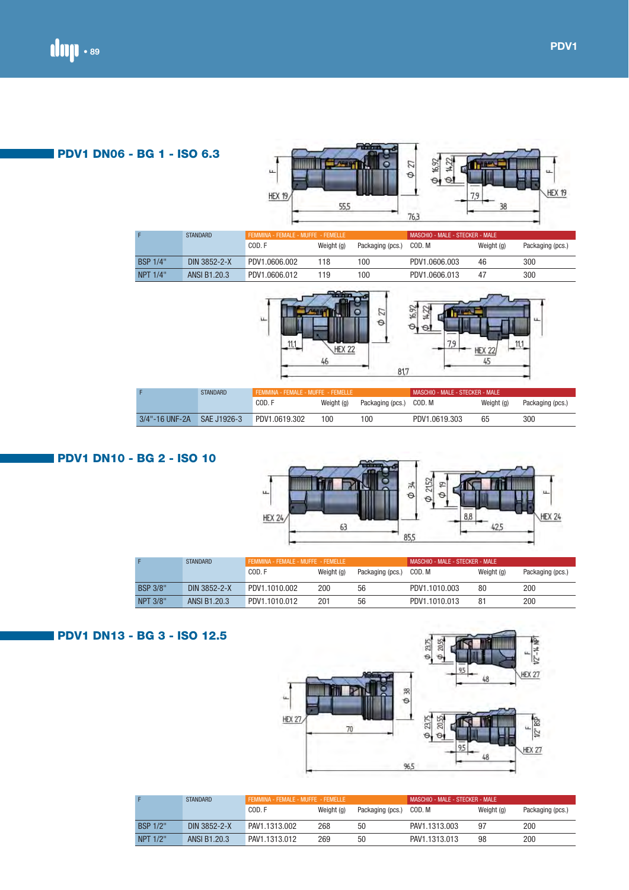## **PDV1 DN06 - BG 1 - ISO 6.3**



|                 | <b>STANDARD</b> | FEMMINA - FEMALE - MUFFE - FEMELLE |            |                  | MASCHIO - MALE - STECKER - MALE |            |                  |
|-----------------|-----------------|------------------------------------|------------|------------------|---------------------------------|------------|------------------|
|                 |                 | COD. F                             | Weight (g) | Packaging (pcs.) | COD. M                          | Weight (g) | Packaging (pcs.) |
| <b>BSP 1/4"</b> | DIN 3852-2-X    | PDV1.0606.002                      | 118        | 100              | PDV1.0606.003                   | 46         | 300              |
| NPT 1/4"        | ANSI B1.20.3    | PDV1.0606.012                      | 119        | 100              | PDV1.0606.013                   | 47         | 300              |





|                | <b>STANDARD</b> |               | FEMMINA - FEMALE - MUFFE - FEMELLE |                  |               | MASCHIO - MALE - STECKER - MALE |                  |  |
|----------------|-----------------|---------------|------------------------------------|------------------|---------------|---------------------------------|------------------|--|
|                |                 | COD. F        | Weight (g)                         | Packaging (pcs.) | COD. M        | Weight (g)                      | Packaging (pcs.) |  |
| 3/4"-16 UNF-2A | SAE J1926-3     | PDV1.0619.302 | 100                                | 00               | PDV1.0619.303 | 65                              | 300              |  |

#### $\phi$  2152 **Tim** Φ  $\phi$  19 u. u. **HEX 24**  $HEX 24$ 8,8  $63$  $42,5$ 85,5

|                 | <b>STANDARD</b> | FEMMINA - FEMALE - MUFFE - FEMELLE |            | MASCHIO - MALE - STECKER - MALE |               |            |                  |  |
|-----------------|-----------------|------------------------------------|------------|---------------------------------|---------------|------------|------------------|--|
|                 |                 | COD. F                             | Weight (g) | Packaging (pcs.)                | COD. M        | Weight (g) | Packaging (pcs.) |  |
| <b>BSP 3/8"</b> | DIN 3852-2-X    | PDV1.1010.002                      | 200        | 56                              | PDV1.1010.003 | 80         | 200              |  |
| <b>NPT 3/8"</b> | ANSI B1.20.3    | PDV1.1010.012                      | 201        | 56                              | PDV1.1010.013 | 81         | 200              |  |

## **PDV1 DN13 - BG 3 - ISO 12.5**

 **PDV1 DN10 - BG 2 - ISO 10**



|                 | <b>STANDARD</b> | FEMMINA - FEMALE - MUFFE - FEMELLE |            |                  | MASCHIO - MALE - STECKER - MALE |            |                  |  |
|-----------------|-----------------|------------------------------------|------------|------------------|---------------------------------|------------|------------------|--|
|                 |                 | COD. F                             | Weight (g) | Packaging (pcs.) | COD. M                          | Weight (g) | Packaging (pcs.) |  |
| <b>BSP 1/2"</b> | DIN 3852-2-X    | PAV1.1313.002                      | 268        | 50               | PAV1.1313.003                   | -97        | 200              |  |
| NPT 1/2"        | ANSI B1.20.3    | PAV1.1313.012                      | 269        | 50               | PAV1.1313.013                   | 98         | 200              |  |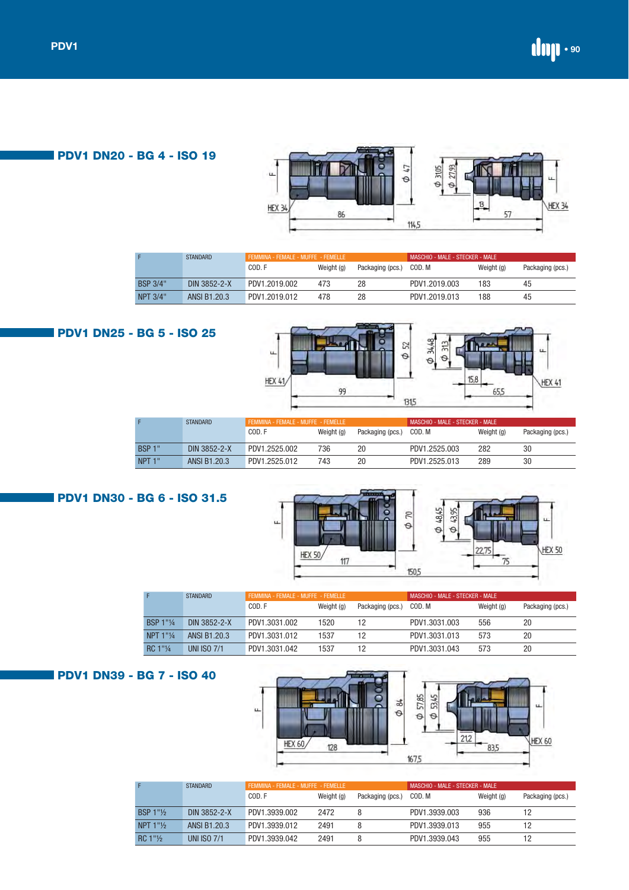

## **PDV1 DN20 - BG 4 - ISO 19**

|                 | <b>STANDARD</b> | FEMMINA - FEMALE - MUFFE - FEMELLE |            |                  |               |            |                  |
|-----------------|-----------------|------------------------------------|------------|------------------|---------------|------------|------------------|
|                 |                 | COD.F                              | Weight (g) | Packaging (pcs.) | COD. M        | Weight (g) | Packaging (pcs.) |
| <b>BSP 3/4"</b> | DIN 3852-2-X    | PDV1.2019.002                      | 473        | 28               | PDV1.2019.003 | 183        | 45               |
| NPT 3/4"        | ANSI B1.20.3    | PDV1.2019.012                      | 478        | 28               | PDV1.2019.013 | 188        | 45               |

# **PDV1 DN25 - BG 5 - ISO 25**



|                    | <b>STANDARD</b> | FEMMINA - FEMALE - MUFFE - FEMELLE |            |                  | MASCHIO - MALE - STECKER - MALE |            |                  |
|--------------------|-----------------|------------------------------------|------------|------------------|---------------------------------|------------|------------------|
|                    |                 | COD. F                             | Weight (g) | Packaging (pcs.) | COD. M                          | Weight (g) | Packaging (pcs.) |
| <b>BSP 1"</b>      | DIN 3852-2-X    | PDV1.2525.002                      | 736        | 20               | PDV1.2525.003                   | 282        | 30               |
| NPT <sub>1</sub> " | ANSI B1.20.3    | PDV1.2525.012                      | 743        | 20               | PDV1.2525.013                   | 289        | 30               |

## **PDV1 DN30 - BG 6 - ISO 31.5**



|           | <b>STANDARD</b>    |               | FEMMINA - FEMALE - MUFFE - FEMELLE |                  |               | MASCHIO - MALE - STECKER - MALE |                  |  |  |
|-----------|--------------------|---------------|------------------------------------|------------------|---------------|---------------------------------|------------------|--|--|
|           |                    | COD.F         | Weight (g)                         | Packaging (pcs.) | COD. M        | Weight (g)                      | Packaging (pcs.) |  |  |
| BSP 1"1/4 | DIN 3852-2-X       | PDV1.3031.002 | 1520                               |                  | PDV1.3031.003 | 556                             | 20               |  |  |
| NPT 1"1/4 | ANSI B1.20.3       | PDV1.3031.012 | 1537                               | 12               | PDV1.3031.013 | 573                             | 20               |  |  |
| RC 1"1/4  | <b>UNI ISO 7/1</b> | PDV1.3031.042 | 1537                               |                  | PDV1.3031.043 | 573                             | 20               |  |  |

## **PDV1 DN39 - BG 7 - ISO 40**



|                                      | <b>STANDARD</b>    | FEMMINA - FEMALE - MUFFE - FEMELLE |            |                  | MASCHIO - MALE - STECKER - MALE |            |                  |
|--------------------------------------|--------------------|------------------------------------|------------|------------------|---------------------------------|------------|------------------|
|                                      |                    | COD. F                             | Weight (g) | Packaging (pcs.) | COD. M                          | Weight (g) | Packaging (pcs.) |
| BSP $1"$ <sup>1</sup> / <sub>2</sub> | DIN 3852-2-X       | PDV1.3939.002                      | 2472       |                  | PDV1.3939.003                   | 936        |                  |
| NPT $1"$ %                           | ANSI B1.20.3       | PDV1.3939.012                      | 2491       |                  | PDV1 3939 013                   | 955        |                  |
| $RC 1"$ <sup>1</sup>                 | <b>UNI ISO 7/1</b> | PDV1.3939.042                      | 2491       |                  | PDV1.3939.043                   | 955        | 12               |